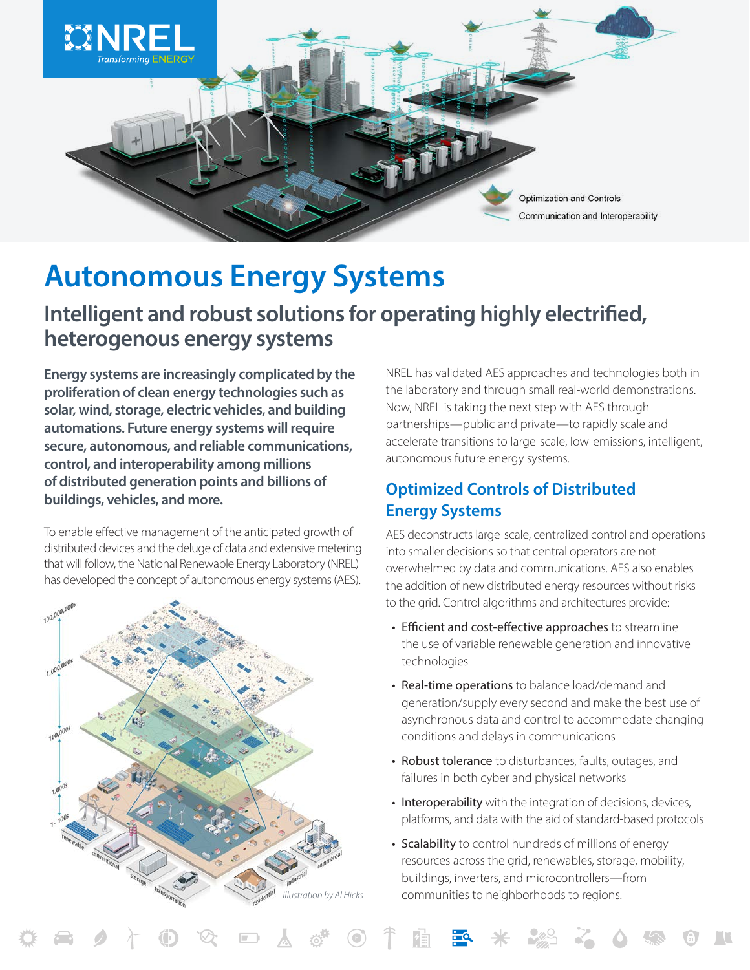

# **Autonomous Energy Systems**

## **Intelligent and robust solutions for operating highly electrified, heterogenous energy systems**

**Energy systems are increasingly complicated by the proliferation of clean energy technologies such as solar, wind, storage, electric vehicles, and building automations. Future energy systems will require secure, autonomous, and reliable communications, control, and interoperability among millions of distributed generation points and billions of buildings, vehicles, and more.** 

To enable effective management of the anticipated growth of distributed devices and the deluge of data and extensive metering that will follow, the National Renewable Energy Laboratory (NREL) has developed the concept of autonomous energy systems (AES).



NREL has validated AES approaches and technologies both in the laboratory and through small real-world demonstrations. Now, NREL is taking the next step with AES through partnerships—public and private—to rapidly scale and accelerate transitions to large-scale, low-emissions, intelligent, autonomous future energy systems.

### **Optimized Controls of Distributed Energy Systems**

AES deconstructs large-scale, centralized control and operations into smaller decisions so that central operators are not overwhelmed by data and communications. AES also enables the addition of new distributed energy resources without risks to the grid. Control algorithms and architectures provide:

- Efficient and cost-effective approaches to streamline the use of variable renewable generation and innovative technologies
- Real-time operations to balance load/demand and generation/supply every second and make the best use of asynchronous data and control to accommodate changing conditions and delays in communications
- Robust tolerance to disturbances, faults, outages, and failures in both cyber and physical networks
- Interoperability with the integration of decisions, devices, platforms, and data with the aid of standard-based protocols
- Scalability to control hundreds of millions of energy resources across the grid, renewables, storage, mobility, buildings, inverters, and microcontrollers—from *Illustration by Al Hicks* communities to neighborhoods to regions.